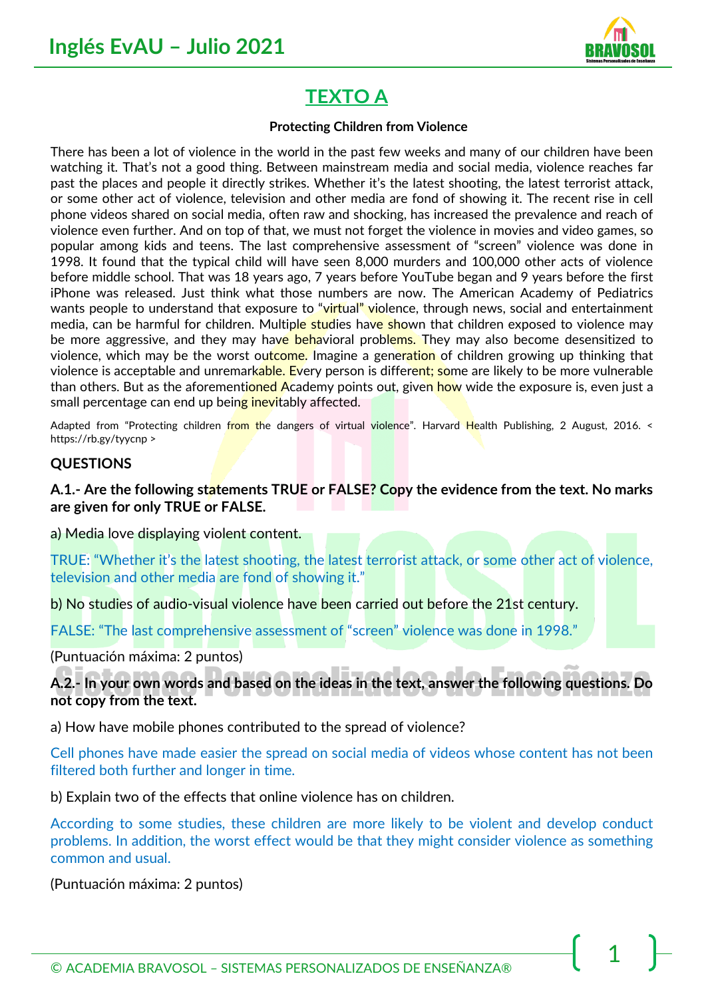

# **TEXTO A**

#### **Protecting Children from Violence**

There has been a lot of violence in the world in the past few weeks and many of our children have been watching it. That's not a good thing. Between mainstream media and social media, violence reaches far past the places and people it directly strikes. Whether it's the latest shooting, the latest terrorist attack, or some other act of violence, television and other media are fond of showing it. The recent rise in cell phone videos shared on social media, often raw and shocking, has increased the prevalence and reach of violence even further. And on top of that, we must not forget the violence in movies and video games, so popular among kids and teens. The last comprehensive assessment of "screen" violence was done in 1998. It found that the typical child will have seen 8,000 murders and 100,000 other acts of violence before middle school. That was 18 years ago, 7 years before YouTube began and 9 years before the first iPhone was released. Just think what those numbers are now. The American Academy of Pediatrics wants people to understand that exposure to "virtual" violence, through news, social and entertainment media, can be harmful for children. Multiple studies have shown that children exposed to violence may be more aggressive, and they may have behavioral problems. They may also become desensitized to violence, which may be the worst outcome. Imagine a generation of children growing up thinking that violence is acceptable and unremarkable. Every person is different; some are likely to be more vulnerable than others. But as the aforementioned Academy points out, given how wide the exposure is, even just a small percentage can end up being inevitably affected.

Adapted from "Protecting children from the dangers of virtual violence". Harvard Health Publishing, 2 August, 2016. < https://rb.gy/tyycnp >

#### **QUESTIONS**

**A.1.- Are the following statements TRUE or FALSE? Copy the evidence from the text. No marks are given for only TRUE or FALSE.** 

a) Media love displaying violent content.

TRUE: "Whether it's the latest shooting, the latest terrorist attack, or some other act of violence, television and other media are fond of showing it."

b) No studies of audio-visual violence have been carried out before the 21st century.

FALSE: "The last comprehensive assessment of "screen" violence was done in 1998."

(Puntuación máxima: 2 puntos)

#### **A.2.- In your own words and based on the ideas in the text, answer the following questions. Do not copy from the text.**

a) How have mobile phones contributed to the spread of violence?

Cell phones have made easier the spread on social media of videos whose content has not been filtered both further and longer in time.

b) Explain two of the effects that online violence has on children.

According to some studies, these children are more likely to be violent and develop conduct problems. In addition, the worst effect would be that they might consider violence as something common and usual.

(Puntuación máxima: 2 puntos)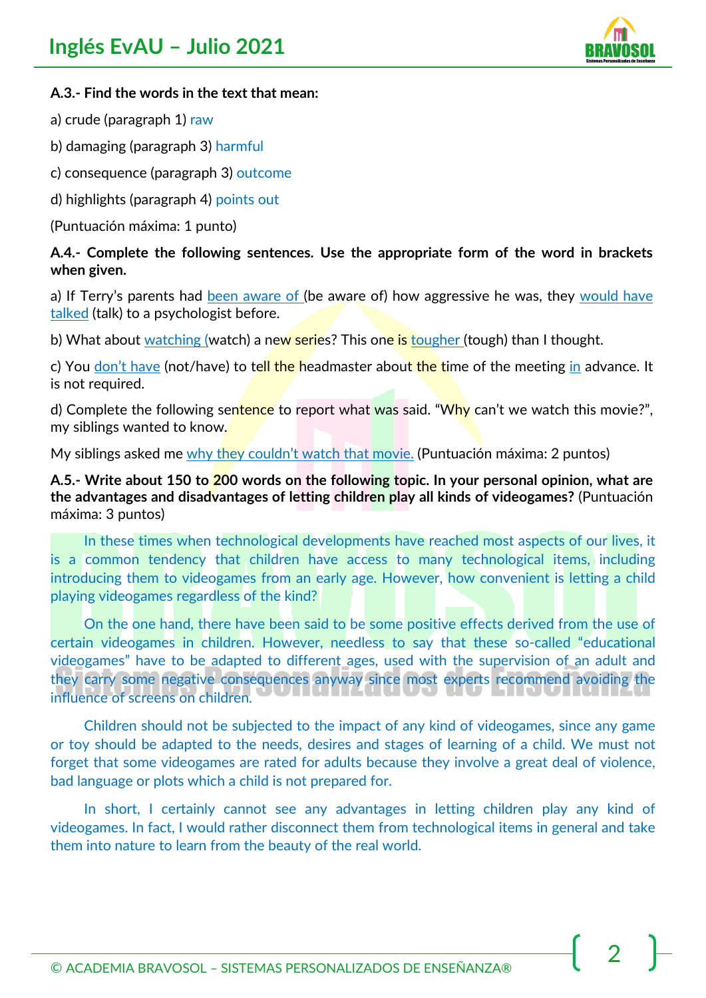

#### **A.3.- Find the words in the text that mean:**

- a) crude (paragraph 1) raw
- b) damaging (paragraph 3) harmful
- c) consequence (paragraph 3) outcome
- d) highlights (paragraph 4) points out
- (Puntuación máxima: 1 punto)

#### **A.4.- Complete the following sentences. Use the appropriate form of the word in brackets when given.**

a) If Terry's parents had been aware of (be aware of) how aggressive he was, they would have talked (talk) to a psychologist before.

b) What about watching (watch) a new series? This one is tougher (tough) than I thought.

c) You don't have (not/have) to tell the headmaster about the time of the meeting in advance. It is not required.

d) Complete the following sentence to report what was said. "Why can't we watch this movie?", my siblings wanted to know.

My siblings asked me why they couldn't watch that movie. (Puntuación máxima: 2 puntos)

**A.5.- Write about 150 to 200 words on the following topic. In your personal opinion, what are the advantages and disadvantages of letting children play all kinds of videogames?** (Puntuación máxima: 3 puntos)

In these times when technological developments have reached most aspects of our lives, it is a common tendency that children have access to many technological items, including introducing them to videogames from an early age. However, how convenient is letting a child playing videogames regardless of the kind?

On the one hand, there have been said to be some positive effects derived from the use of certain videogames in children. However, needless to say that these so-called "educational videogames" have to be adapted to different ages, used with the supervision of an adult and they carry some negative consequences anyway since most experts recommend avoiding the influence of screens on children.

Children should not be subjected to the impact of any kind of videogames, since any game or toy should be adapted to the needs, desires and stages of learning of a child. We must not forget that some videogames are rated for adults because they involve a great deal of violence, bad language or plots which a child is not prepared for.

In short, I certainly cannot see any advantages in letting children play any kind of videogames. In fact, I would rather disconnect them from technological items in general and take them into nature to learn from the beauty of the real world.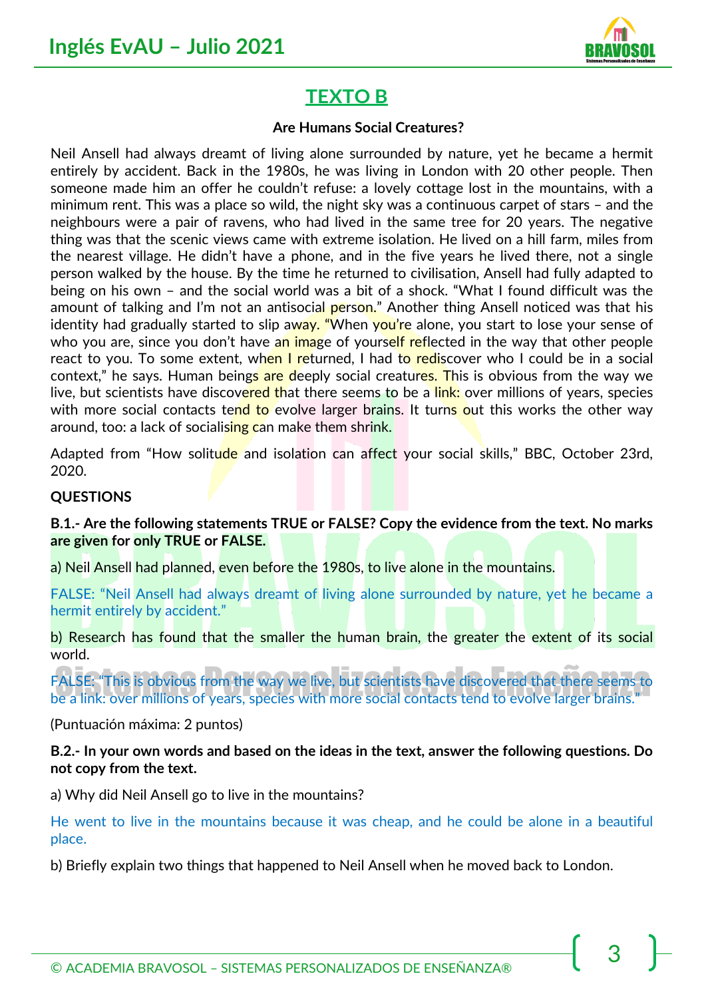

## **TEXTO B**

#### **Are Humans Social Creatures?**

Neil Ansell had always dreamt of living alone surrounded by nature, yet he became a hermit entirely by accident. Back in the 1980s, he was living in London with 20 other people. Then someone made him an offer he couldn't refuse: a lovely cottage lost in the mountains, with a minimum rent. This was a place so wild, the night sky was a continuous carpet of stars – and the neighbours were a pair of ravens, who had lived in the same tree for 20 years. The negative thing was that the scenic views came with extreme isolation. He lived on a hill farm, miles from the nearest village. He didn't have a phone, and in the five years he lived there, not a single person walked by the house. By the time he returned to civilisation, Ansell had fully adapted to being on his own – and the social world was a bit of a shock. "What I found difficult was the amount of talking and I'm not an antisocial person." Another thing Ansell noticed was that his identity had gradually started to slip away. "When you're alone, you start to lose your sense of who you are, since you don't have an image of yourself reflected in the way that other people react to you. To some extent, when I returned, I had to rediscover who I could be in a social context," he says. Human beings are deeply social creatures. This is obvious from the way we live, but scientists have discovered that there seems to be a link: over millions of years, species with more social contacts tend to evolve larger brains. It turns out this works the other way around, too: a lack of socialising can make them shrink.

Adapted from "How solitude and isolation can affect your social skills," BBC, October 23rd, 2020.

#### **QUESTIONS**

**B.1.- Are the following statements TRUE or FALSE? Copy the evidence from the text. No marks are given for only TRUE or FALSE.** 

a) Neil Ansell had planned, even before the 1980s, to live alone in the mountains.

FALSE: "Neil Ansell had always dreamt of living alone surrounded by nature, yet he became a hermit entirely by accident."

b) Research has found that the smaller the human brain, the greater the extent of its social world.

FALSE: "This is obvious from the way we live, but scientists have discovered that there seems to be a link: over millions of years, species with more social contacts tend to evolve larger brains."

(Puntuación máxima: 2 puntos)

**B.2.- In your own words and based on the ideas in the text, answer the following questions. Do not copy from the text.** 

a) Why did Neil Ansell go to live in the mountains?

He went to live in the mountains because it was cheap, and he could be alone in a beautiful place.

b) Briefly explain two things that happened to Neil Ansell when he moved back to London.